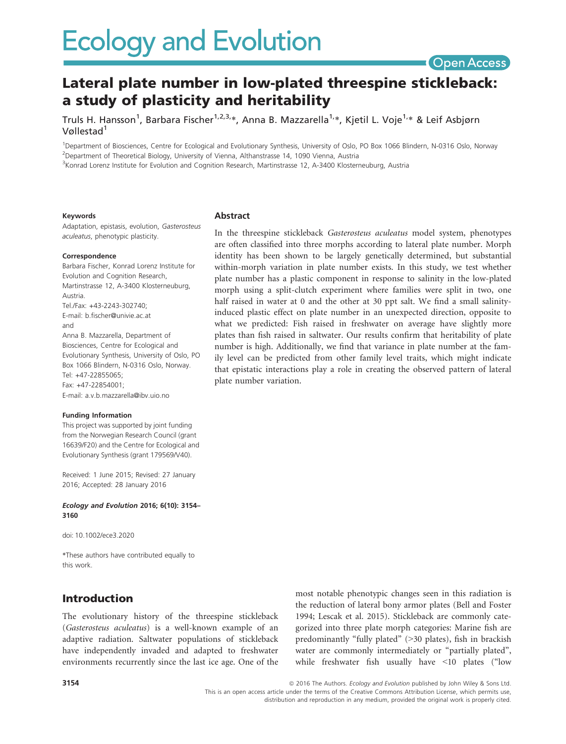

# Lateral plate number in low-plated threespine stickleback: a study of plasticity and heritability

Truls H. Hansson<sup>1</sup>, Barbara Fischer<sup>1,2,3,</sup>\*, Anna B. Mazzarella<sup>1,</sup>\*, Kjetil L. Voje<sup>1,</sup>\* & Leif Asbjørn Vøllestad<sup>1</sup>

1 Department of Biosciences, Centre for Ecological and Evolutionary Synthesis, University of Oslo, PO Box 1066 Blindern, N-0316 Oslo, Norway <sup>2</sup>Department of Theoretical Biology, University of Vienna, Althanstrasse 14, 1090 Vienna, Austria

3 Konrad Lorenz Institute for Evolution and Cognition Research, Martinstrasse 12, A-3400 Klosterneuburg, Austria

Abstract

plate number variation.

#### Keywords

Adaptation, epistasis, evolution, Gasterosteus aculeatus, phenotypic plasticity.

#### Correspondence

Barbara Fischer, Konrad Lorenz Institute for Evolution and Cognition Research, Martinstrasse 12, A-3400 Klosterneuburg, Austria. Tel./Fax: +43-2243-302740; E-mail: b.fischer@univie.ac.at and Anna B. Mazzarella, Department of Biosciences, Centre for Ecological and Evolutionary Synthesis, University of Oslo, PO Box 1066 Blindern, N-0316 Oslo, Norway. Tel: +47-22855065; Fax: +47-22854001; E-mail: a.v.b.mazzarella@ibv.uio.no

#### Funding Information

This project was supported by joint funding from the Norwegian Research Council (grant 16639/F20) and the Centre for Ecological and Evolutionary Synthesis (grant 179569/V40).

Received: 1 June 2015; Revised: 27 January 2016; Accepted: 28 January 2016

#### Ecology and Evolution 2016; 6(10): 3154– 3160

doi: 10.1002/ece3.2020

\*These authors have contributed equally to this work.

### Introduction

The evolutionary history of the threespine stickleback (Gasterosteus aculeatus) is a well-known example of an adaptive radiation. Saltwater populations of stickleback have independently invaded and adapted to freshwater environments recurrently since the last ice age. One of the most notable phenotypic changes seen in this radiation is the reduction of lateral bony armor plates (Bell and Foster 1994; Lescak et al. 2015). Stickleback are commonly categorized into three plate morph categories: Marine fish are predominantly "fully plated" (>30 plates), fish in brackish water are commonly intermediately or "partially plated", while freshwater fish usually have <10 plates ("low

In the threespine stickleback Gasterosteus aculeatus model system, phenotypes are often classified into three morphs according to lateral plate number. Morph identity has been shown to be largely genetically determined, but substantial within-morph variation in plate number exists. In this study, we test whether plate number has a plastic component in response to salinity in the low-plated morph using a split-clutch experiment where families were split in two, one half raised in water at 0 and the other at 30 ppt salt. We find a small salinityinduced plastic effect on plate number in an unexpected direction, opposite to what we predicted: Fish raised in freshwater on average have slightly more plates than fish raised in saltwater. Our results confirm that heritability of plate number is high. Additionally, we find that variance in plate number at the family level can be predicted from other family level traits, which might indicate

that epistatic interactions play a role in creating the observed pattern of lateral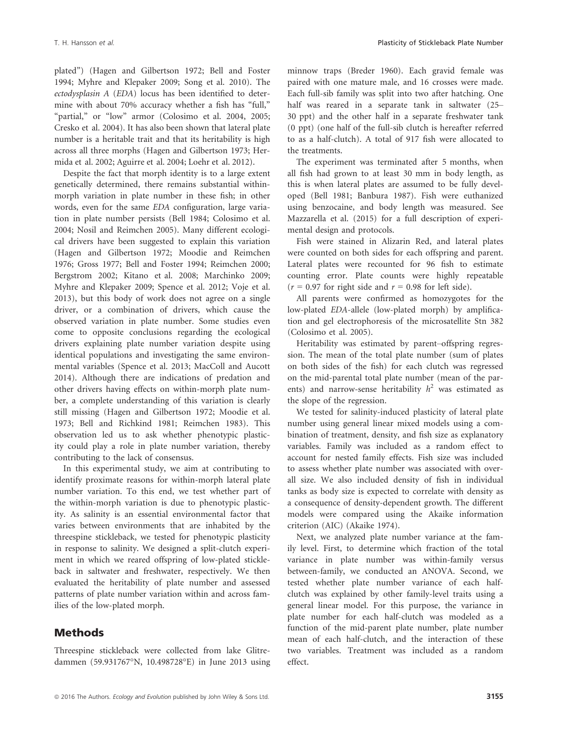plated") (Hagen and Gilbertson 1972; Bell and Foster 1994; Myhre and Klepaker 2009; Song et al. 2010). The ectodysplasin A (EDA) locus has been identified to determine with about 70% accuracy whether a fish has "full," "partial," or "low" armor (Colosimo et al. 2004, 2005; Cresko et al. 2004). It has also been shown that lateral plate number is a heritable trait and that its heritability is high across all three morphs (Hagen and Gilbertson 1973; Hermida et al. 2002; Aguirre et al. 2004; Loehr et al. 2012).

Despite the fact that morph identity is to a large extent genetically determined, there remains substantial withinmorph variation in plate number in these fish; in other words, even for the same EDA configuration, large variation in plate number persists (Bell 1984; Colosimo et al. 2004; Nosil and Reimchen 2005). Many different ecological drivers have been suggested to explain this variation (Hagen and Gilbertson 1972; Moodie and Reimchen 1976; Gross 1977; Bell and Foster 1994; Reimchen 2000; Bergstrom 2002; Kitano et al. 2008; Marchinko 2009; Myhre and Klepaker 2009; Spence et al. 2012; Voje et al. 2013), but this body of work does not agree on a single driver, or a combination of drivers, which cause the observed variation in plate number. Some studies even come to opposite conclusions regarding the ecological drivers explaining plate number variation despite using identical populations and investigating the same environmental variables (Spence et al. 2013; MacColl and Aucott 2014). Although there are indications of predation and other drivers having effects on within-morph plate number, a complete understanding of this variation is clearly still missing (Hagen and Gilbertson 1972; Moodie et al. 1973; Bell and Richkind 1981; Reimchen 1983). This observation led us to ask whether phenotypic plasticity could play a role in plate number variation, thereby contributing to the lack of consensus.

In this experimental study, we aim at contributing to identify proximate reasons for within-morph lateral plate number variation. To this end, we test whether part of the within-morph variation is due to phenotypic plasticity. As salinity is an essential environmental factor that varies between environments that are inhabited by the threespine stickleback, we tested for phenotypic plasticity in response to salinity. We designed a split-clutch experiment in which we reared offspring of low-plated stickleback in saltwater and freshwater, respectively. We then evaluated the heritability of plate number and assessed patterns of plate number variation within and across families of the low-plated morph.

### Methods

Threespine stickleback were collected from lake Glitredammen (59.931767°N, 10.498728°E) in June 2013 using minnow traps (Breder 1960). Each gravid female was paired with one mature male, and 16 crosses were made. Each full-sib family was split into two after hatching. One half was reared in a separate tank in saltwater (25– 30 ppt) and the other half in a separate freshwater tank (0 ppt) (one half of the full-sib clutch is hereafter referred to as a half-clutch). A total of 917 fish were allocated to the treatments.

The experiment was terminated after 5 months, when all fish had grown to at least 30 mm in body length, as this is when lateral plates are assumed to be fully developed (Bell 1981; Banbura 1987). Fish were euthanized using benzocaine, and body length was measured. See Mazzarella et al. (2015) for a full description of experimental design and protocols.

Fish were stained in Alizarin Red, and lateral plates were counted on both sides for each offspring and parent. Lateral plates were recounted for 96 fish to estimate counting error. Plate counts were highly repeatable  $(r = 0.97$  for right side and  $r = 0.98$  for left side).

All parents were confirmed as homozygotes for the low-plated EDA-allele (low-plated morph) by amplification and gel electrophoresis of the microsatellite Stn 382 (Colosimo et al. 2005).

Heritability was estimated by parent–offspring regression. The mean of the total plate number (sum of plates on both sides of the fish) for each clutch was regressed on the mid-parental total plate number (mean of the parents) and narrow-sense heritability  $h^2$  was estimated as the slope of the regression.

We tested for salinity-induced plasticity of lateral plate number using general linear mixed models using a combination of treatment, density, and fish size as explanatory variables. Family was included as a random effect to account for nested family effects. Fish size was included to assess whether plate number was associated with overall size. We also included density of fish in individual tanks as body size is expected to correlate with density as a consequence of density-dependent growth. The different models were compared using the Akaike information criterion (AIC) (Akaike 1974).

Next, we analyzed plate number variance at the family level. First, to determine which fraction of the total variance in plate number was within-family versus between-family, we conducted an ANOVA. Second, we tested whether plate number variance of each halfclutch was explained by other family-level traits using a general linear model. For this purpose, the variance in plate number for each half-clutch was modeled as a function of the mid-parent plate number, plate number mean of each half-clutch, and the interaction of these two variables. Treatment was included as a random effect.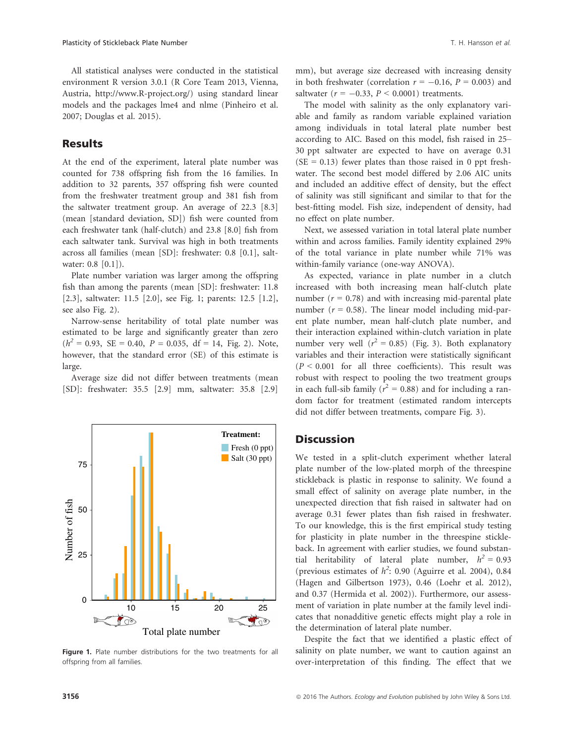All statistical analyses were conducted in the statistical environment R version 3.0.1 (R Core Team 2013, Vienna, Austria,<http://www.R-project.org/>) using standard linear models and the packages lme4 and nlme (Pinheiro et al. 2007; Douglas et al. 2015).

### **Results**

At the end of the experiment, lateral plate number was counted for 738 offspring fish from the 16 families. In addition to 32 parents, 357 offspring fish were counted from the freshwater treatment group and 381 fish from the saltwater treatment group. An average of 22.3 [8.3] (mean [standard deviation, SD]) fish were counted from each freshwater tank (half-clutch) and 23.8 [8.0] fish from each saltwater tank. Survival was high in both treatments across all families (mean [SD]: freshwater: 0.8 [0.1], saltwater: 0.8 [0.1]).

Plate number variation was larger among the offspring fish than among the parents (mean [SD]: freshwater: 11.8 [2.3], saltwater: 11.5 [2.0], see Fig. 1; parents: 12.5 [1.2], see also Fig. 2).

Narrow-sense heritability of total plate number was estimated to be large and significantly greater than zero  $(h^2 = 0.93, \text{ SE} = 0.40, P = 0.035, df = 14, Fig. 2). \text{ Note,}$ however, that the standard error (SE) of this estimate is large.

Average size did not differ between treatments (mean [SD]: freshwater: 35.5 [2.9] mm, saltwater: 35.8 [2.9]



Figure 1. Plate number distributions for the two treatments for all offspring from all families.

mm), but average size decreased with increasing density in both freshwater (correlation  $r = -0.16$ ,  $P = 0.003$ ) and saltwater ( $r = -0.33$ ,  $P < 0.0001$ ) treatments.

The model with salinity as the only explanatory variable and family as random variable explained variation among individuals in total lateral plate number best according to AIC. Based on this model, fish raised in 25– 30 ppt saltwater are expected to have on average 0.31  $(SE = 0.13)$  fewer plates than those raised in 0 ppt freshwater. The second best model differed by 2.06 AIC units and included an additive effect of density, but the effect of salinity was still significant and similar to that for the best-fitting model. Fish size, independent of density, had no effect on plate number.

Next, we assessed variation in total lateral plate number within and across families. Family identity explained 29% of the total variance in plate number while 71% was within-family variance (one-way ANOVA).

As expected, variance in plate number in a clutch increased with both increasing mean half-clutch plate number ( $r = 0.78$ ) and with increasing mid-parental plate number ( $r = 0.58$ ). The linear model including mid-parent plate number, mean half-clutch plate number, and their interaction explained within-clutch variation in plate number very well ( $r^2 = 0.85$ ) (Fig. 3). Both explanatory variables and their interaction were statistically significant  $(P < 0.001$  for all three coefficients). This result was robust with respect to pooling the two treatment groups in each full-sib family ( $r^2 = 0.88$ ) and for including a random factor for treatment (estimated random intercepts did not differ between treatments, compare Fig. 3).

#### **Discussion**

We tested in a split-clutch experiment whether lateral plate number of the low-plated morph of the threespine stickleback is plastic in response to salinity. We found a small effect of salinity on average plate number, in the unexpected direction that fish raised in saltwater had on average 0.31 fewer plates than fish raised in freshwater. To our knowledge, this is the first empirical study testing for plasticity in plate number in the threespine stickleback. In agreement with earlier studies, we found substantial heritability of lateral plate number,  $h^2 = 0.93$ (previous estimates of  $h^2$ : 0.90 (Aguirre et al. 2004), 0.84 (Hagen and Gilbertson 1973), 0.46 (Loehr et al. 2012), and 0.37 (Hermida et al. 2002)). Furthermore, our assessment of variation in plate number at the family level indicates that nonadditive genetic effects might play a role in the determination of lateral plate number.

Despite the fact that we identified a plastic effect of salinity on plate number, we want to caution against an over-interpretation of this finding. The effect that we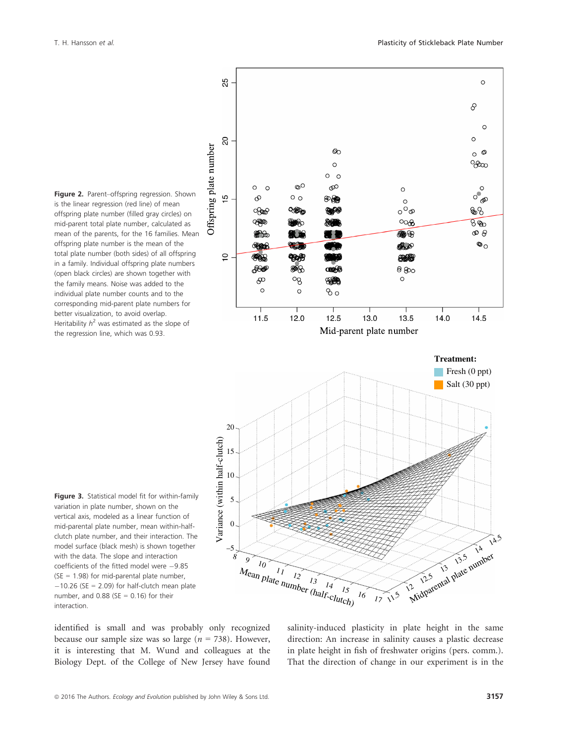





Figure 3. Statistical model fit for within-family variation in plate number, shown on the vertical axis, modeled as a linear function of mid-parental plate number, mean within-halfclutch plate number, and their interaction. The model surface (black mesh) is shown together with the data. The slope and interaction coefficients of the fitted model were  $-9.85$  $(SE = 1.98)$  for mid-parental plate number,  $-10.26$  (SE = 2.09) for half-clutch mean plate number, and  $0.88$  (SE = 0.16) for their interaction.

identified is small and was probably only recognized because our sample size was so large ( $n = 738$ ). However, it is interesting that M. Wund and colleagues at the Biology Dept. of the College of New Jersey have found salinity-induced plasticity in plate height in the same direction: An increase in salinity causes a plastic decrease in plate height in fish of freshwater origins (pers. comm.). That the direction of change in our experiment is in the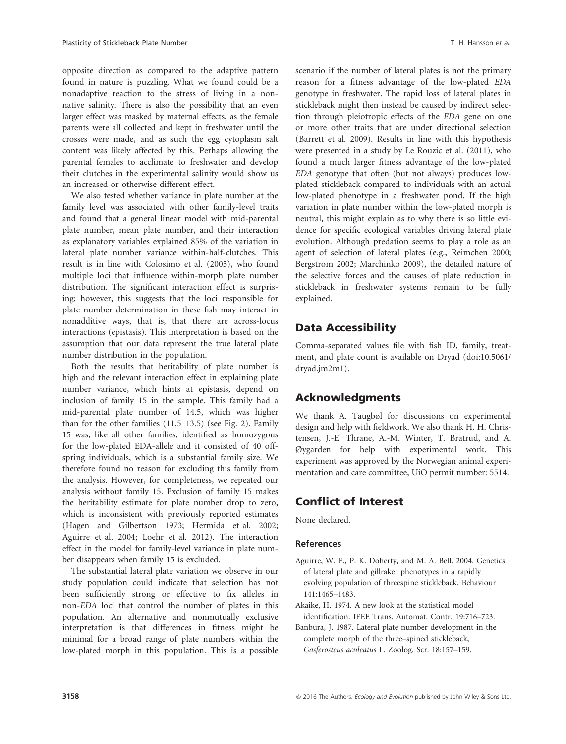parents were all collected and kept in freshwater until the crosses were made, and as such the egg cytoplasm salt content was likely affected by this. Perhaps allowing the parental females to acclimate to freshwater and develop their clutches in the experimental salinity would show us an increased or otherwise different effect.

We also tested whether variance in plate number at the family level was associated with other family-level traits and found that a general linear model with mid-parental plate number, mean plate number, and their interaction as explanatory variables explained 85% of the variation in lateral plate number variance within-half-clutches. This result is in line with Colosimo et al. (2005), who found multiple loci that influence within-morph plate number distribution. The significant interaction effect is surprising; however, this suggests that the loci responsible for plate number determination in these fish may interact in nonadditive ways, that is, that there are across-locus interactions (epistasis). This interpretation is based on the assumption that our data represent the true lateral plate number distribution in the population.

Both the results that heritability of plate number is high and the relevant interaction effect in explaining plate number variance, which hints at epistasis, depend on inclusion of family 15 in the sample. This family had a mid-parental plate number of 14.5, which was higher than for the other families (11.5–13.5) (see Fig. 2). Family 15 was, like all other families, identified as homozygous for the low-plated EDA-allele and it consisted of 40 offspring individuals, which is a substantial family size. We therefore found no reason for excluding this family from the analysis. However, for completeness, we repeated our analysis without family 15. Exclusion of family 15 makes the heritability estimate for plate number drop to zero, which is inconsistent with previously reported estimates (Hagen and Gilbertson 1973; Hermida et al. 2002; Aguirre et al. 2004; Loehr et al. 2012). The interaction effect in the model for family-level variance in plate number disappears when family 15 is excluded.

The substantial lateral plate variation we observe in our study population could indicate that selection has not been sufficiently strong or effective to fix alleles in non-EDA loci that control the number of plates in this population. An alternative and nonmutually exclusive interpretation is that differences in fitness might be minimal for a broad range of plate numbers within the low-plated morph in this population. This is a possible scenario if the number of lateral plates is not the primary reason for a fitness advantage of the low-plated EDA genotype in freshwater. The rapid loss of lateral plates in stickleback might then instead be caused by indirect selection through pleiotropic effects of the EDA gene on one or more other traits that are under directional selection (Barrett et al. 2009). Results in line with this hypothesis were presented in a study by Le Rouzic et al. (2011), who found a much larger fitness advantage of the low-plated EDA genotype that often (but not always) produces lowplated stickleback compared to individuals with an actual low-plated phenotype in a freshwater pond. If the high variation in plate number within the low-plated morph is neutral, this might explain as to why there is so little evidence for specific ecological variables driving lateral plate evolution. Although predation seems to play a role as an agent of selection of lateral plates (e.g., Reimchen 2000; Bergstrom 2002; Marchinko 2009), the detailed nature of the selective forces and the causes of plate reduction in stickleback in freshwater systems remain to be fully explained.

## Data Accessibility

Comma-separated values file with fish ID, family, treatment, and plate count is available on Dryad (doi:[10.5061/](info:doi/10.5061/dryad.jm2m1) [dryad.jm2m1](info:doi/10.5061/dryad.jm2m1)).

# Acknowledgments

We thank A. Taugbøl for discussions on experimental design and help with fieldwork. We also thank H. H. Christensen, J.-E. Thrane, A.-M. Winter, T. Bratrud, and A. Øygarden for help with experimental work. This experiment was approved by the Norwegian animal experimentation and care committee, UiO permit number: 5514.

# Conflict of Interest

None declared.

### References

- Aguirre, W. E., P. K. Doherty, and M. A. Bell. 2004. Genetics of lateral plate and gillraker phenotypes in a rapidly evolving population of threespine stickleback. Behaviour 141:1465–1483.
- Akaike, H. 1974. A new look at the statistical model identification. IEEE Trans. Automat. Contr. 19:716–723.
- Banbura, J. 1987. Lateral plate number development in the complete morph of the three–spined stickleback, Gasferosteus aculeatus L. Zoolog. Scr. 18:157–159.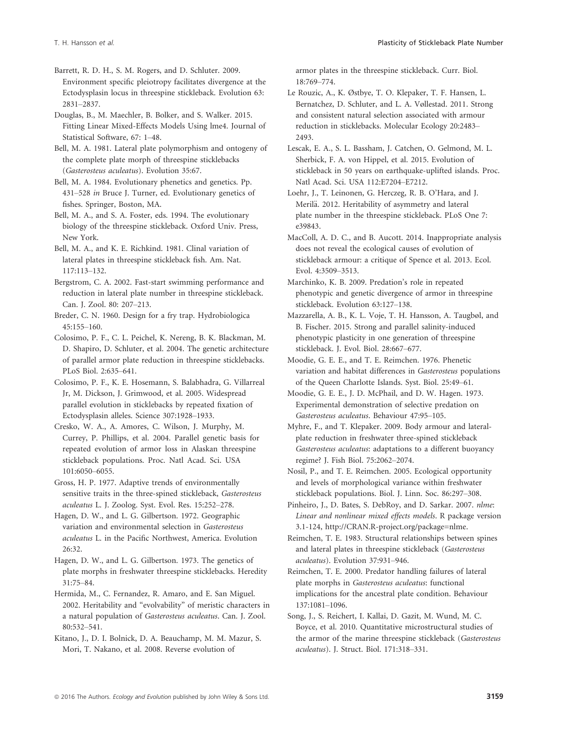Barrett, R. D. H., S. M. Rogers, and D. Schluter. 2009. Environment specific pleiotropy facilitates divergence at the Ectodysplasin locus in threespine stickleback. Evolution 63: 2831–2837.

Douglas, B., M. Maechler, B. Bolker, and S. Walker. 2015. Fitting Linear Mixed-Effects Models Using lme4. Journal of Statistical Software, 67: 1–48.

Bell, M. A. 1981. Lateral plate polymorphism and ontogeny of the complete plate morph of threespine sticklebacks (Gasterosteus aculeatus). Evolution 35:67.

Bell, M. A. 1984. Evolutionary phenetics and genetics. Pp. 431–528 in Bruce J. Turner, ed. Evolutionary genetics of fishes. Springer, Boston, MA.

Bell, M. A., and S. A. Foster, eds. 1994. The evolutionary biology of the threespine stickleback. Oxford Univ. Press, New York.

Bell, M. A., and K. E. Richkind. 1981. Clinal variation of lateral plates in threespine stickleback fish. Am. Nat. 117:113–132.

Bergstrom, C. A. 2002. Fast-start swimming performance and reduction in lateral plate number in threespine stickleback. Can. J. Zool. 80: 207–213.

Breder, C. N. 1960. Design for a fry trap. Hydrobiologica 45:155–160.

Colosimo, P. F., C. L. Peichel, K. Nereng, B. K. Blackman, M. D. Shapiro, D. Schluter, et al. 2004. The genetic architecture of parallel armor plate reduction in threespine sticklebacks. PLoS Biol. 2:635–641.

Colosimo, P. F., K. E. Hosemann, S. Balabhadra, G. Villarreal Jr, M. Dickson, J. Grimwood, et al. 2005. Widespread parallel evolution in sticklebacks by repeated fixation of Ectodysplasin alleles. Science 307:1928–1933.

Cresko, W. A., A. Amores, C. Wilson, J. Murphy, M. Currey, P. Phillips, et al. 2004. Parallel genetic basis for repeated evolution of armor loss in Alaskan threespine stickleback populations. Proc. Natl Acad. Sci. USA 101:6050–6055.

Gross, H. P. 1977. Adaptive trends of environmentally sensitive traits in the three-spined stickleback, Gasterosteus aculeatus L. J. Zoolog. Syst. Evol. Res. 15:252–278.

Hagen, D. W., and L. G. Gilbertson. 1972. Geographic variation and environmental selection in Gasterosteus aculeatus L. in the Pacific Northwest, America. Evolution 26:32.

Hagen, D. W., and L. G. Gilbertson. 1973. The genetics of plate morphs in freshwater threespine sticklebacks. Heredity 31:75–84.

Hermida, M., C. Fernandez, R. Amaro, and E. San Miguel. 2002. Heritability and "evolvability" of meristic characters in a natural population of Gasterosteus aculeatus. Can. J. Zool. 80:532–541.

Kitano, J., D. I. Bolnick, D. A. Beauchamp, M. M. Mazur, S. Mori, T. Nakano, et al. 2008. Reverse evolution of

armor plates in the threespine stickleback. Curr. Biol. 18:769–774.

Le Rouzic, A., K. Østbye, T. O. Klepaker, T. F. Hansen, L. Bernatchez, D. Schluter, and L. A. Vøllestad. 2011. Strong and consistent natural selection associated with armour reduction in sticklebacks. Molecular Ecology 20:2483– 2493.

Lescak, E. A., S. L. Bassham, J. Catchen, O. Gelmond, M. L. Sherbick, F. A. von Hippel, et al. 2015. Evolution of stickleback in 50 years on earthquake-uplifted islands. Proc. Natl Acad. Sci. USA 112:E7204–E7212.

Loehr, J., T. Leinonen, G. Herczeg, R. B. O'Hara, and J. Merilä. 2012. Heritability of asymmetry and lateral plate number in the threespine stickleback. PLoS One 7: e39843.

MacColl, A. D. C., and B. Aucott. 2014. Inappropriate analysis does not reveal the ecological causes of evolution of stickleback armour: a critique of Spence et al. 2013. Ecol. Evol. 4:3509–3513.

Marchinko, K. B. 2009. Predation's role in repeated phenotypic and genetic divergence of armor in threespine stickleback. Evolution 63:127–138.

Mazzarella, A. B., K. L. Voje, T. H. Hansson, A. Taugbøl, and B. Fischer. 2015. Strong and parallel salinity-induced phenotypic plasticity in one generation of threespine stickleback. J. Evol. Biol. 28:667–677.

Moodie, G. E. E., and T. E. Reimchen. 1976. Phenetic variation and habitat differences in Gasterosteus populations of the Queen Charlotte Islands. Syst. Biol. 25:49–61.

Moodie, G. E. E., J. D. McPhail, and D. W. Hagen. 1973. Experimental demonstration of selective predation on Gasterosteus aculeatus. Behaviour 47:95–105.

Myhre, F., and T. Klepaker. 2009. Body armour and lateralplate reduction in freshwater three-spined stickleback Gasterosteus aculeatus: adaptations to a different buoyancy regime? J. Fish Biol. 75:2062–2074.

Nosil, P., and T. E. Reimchen. 2005. Ecological opportunity and levels of morphological variance within freshwater stickleback populations. Biol. J. Linn. Soc. 86:297–308.

Pinheiro, J., D. Bates, S. DebRoy, and D. Sarkar. 2007. nlme: Linear and nonlinear mixed effects models. R package version 3.1-124, [http://CRAN.R-project.org/package=nlme.](http://CRAN.R-project.org/package=nlme)

Reimchen, T. E. 1983. Structural relationships between spines and lateral plates in threespine stickleback (Gasterosteus aculeatus). Evolution 37:931–946.

Reimchen, T. E. 2000. Predator handling failures of lateral plate morphs in Gasterosteus aculeatus: functional implications for the ancestral plate condition. Behaviour 137:1081–1096.

Song, J., S. Reichert, I. Kallai, D. Gazit, M. Wund, M. C. Boyce, et al. 2010. Quantitative microstructural studies of the armor of the marine threespine stickleback (Gasterosteus aculeatus). J. Struct. Biol. 171:318–331.